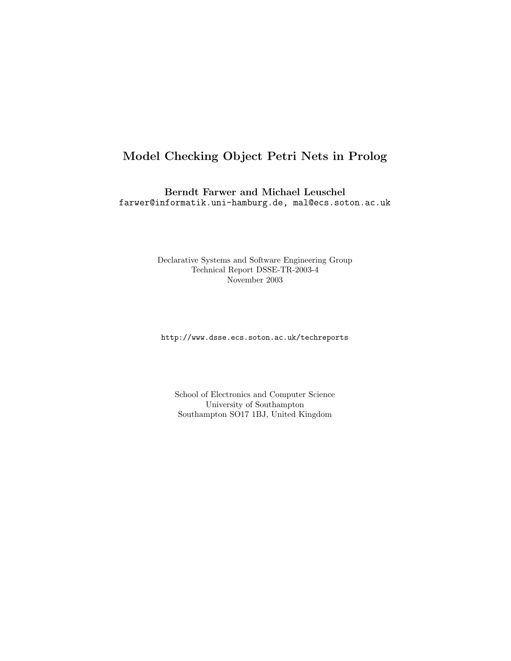# Model Checking Object Petri Nets in Prolog

Berndt Farwer and Michael Leuschel farwer@informatik.uni-hamburg.de, mal@ecs.soton.ac.uk

> Declarative Systems and Software Engineering Group Technical Report DSSE-TR-2003-4 November 2003

http://www.dsse.ecs.soton.ac.uk/techreports

School of Electronics and Computer Science University of Southampton Southampton SO17 1BJ, United Kingdom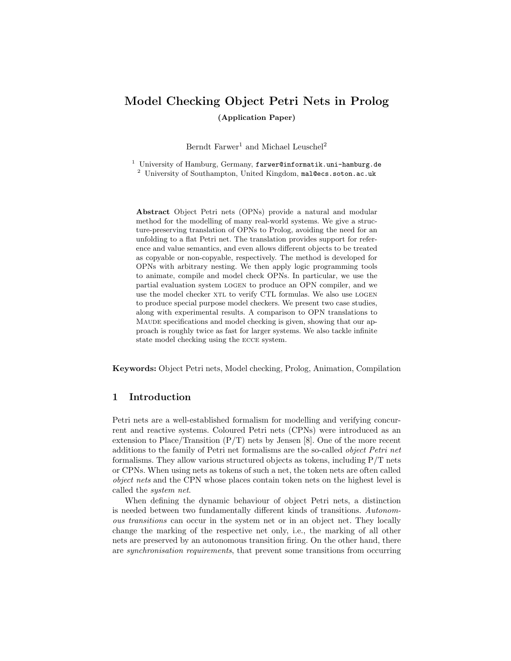# Model Checking Object Petri Nets in Prolog (Application Paper)

Berndt Farwer<sup>1</sup> and Michael Leuschel<sup>2</sup>

 $^{\rm 1}$ University of Hamburg, Germany, farwer@informatik.uni-hamburg.de  $2$  University of Southampton, United Kingdom, mal@ecs.soton.ac.uk

Abstract Object Petri nets (OPNs) provide a natural and modular method for the modelling of many real-world systems. We give a structure-preserving translation of OPNs to Prolog, avoiding the need for an unfolding to a flat Petri net. The translation provides support for reference and value semantics, and even allows different objects to be treated as copyable or non-copyable, respectively. The method is developed for OPNs with arbitrary nesting. We then apply logic programming tools to animate, compile and model check OPNs. In particular, we use the partial evaluation system logen to produce an OPN compiler, and we use the model checker XTL to verify CTL formulas. We also use LOGEN to produce special purpose model checkers. We present two case studies, along with experimental results. A comparison to OPN translations to MAUDE specifications and model checking is given, showing that our approach is roughly twice as fast for larger systems. We also tackle infinite state model checking using the ecce system.

Keywords: Object Petri nets, Model checking, Prolog, Animation, Compilation

# 1 Introduction

Petri nets are a well-established formalism for modelling and verifying concurrent and reactive systems. Coloured Petri nets (CPNs) were introduced as an extension to Place/Transition  $(P/T)$  nets by Jensen [8]. One of the more recent additions to the family of Petri net formalisms are the so-called object Petri net formalisms. They allow various structured objects as tokens, including P/T nets or CPNs. When using nets as tokens of such a net, the token nets are often called object nets and the CPN whose places contain token nets on the highest level is called the system net.

When defining the dynamic behaviour of object Petri nets, a distinction is needed between two fundamentally different kinds of transitions. Autonomous transitions can occur in the system net or in an object net. They locally change the marking of the respective net only, i.e., the marking of all other nets are preserved by an autonomous transition firing. On the other hand, there are synchronisation requirements, that prevent some transitions from occurring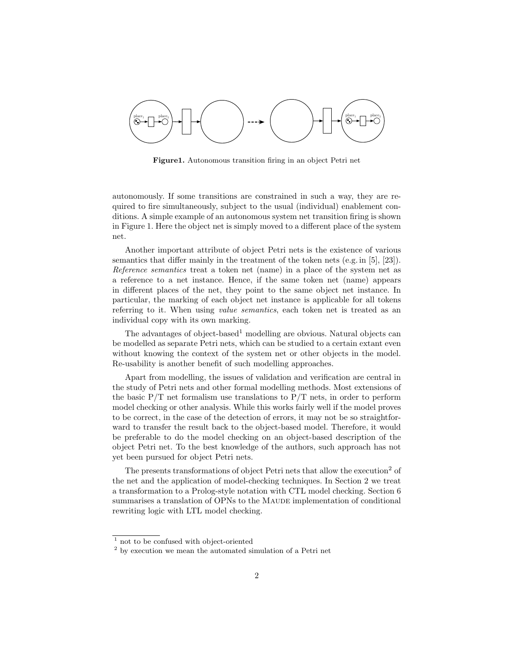

Figure1. Autonomous transition firing in an object Petri net

autonomously. If some transitions are constrained in such a way, they are required to fire simultaneously, subject to the usual (individual) enablement conditions. A simple example of an autonomous system net transition firing is shown in Figure 1. Here the object net is simply moved to a different place of the system net.

Another important attribute of object Petri nets is the existence of various semantics that differ mainly in the treatment of the token nets (e.g. in [5], [23]). Reference semantics treat a token net (name) in a place of the system net as a reference to a net instance. Hence, if the same token net (name) appears in different places of the net, they point to the same object net instance. In particular, the marking of each object net instance is applicable for all tokens referring to it. When using value semantics, each token net is treated as an individual copy with its own marking.

The advantages of object-based<sup>1</sup> modelling are obvious. Natural objects can be modelled as separate Petri nets, which can be studied to a certain extant even without knowing the context of the system net or other objects in the model. Re-usability is another benefit of such modelling approaches.

Apart from modelling, the issues of validation and verification are central in the study of Petri nets and other formal modelling methods. Most extensions of the basic  $P/T$  net formalism use translations to  $P/T$  nets, in order to perform model checking or other analysis. While this works fairly well if the model proves to be correct, in the case of the detection of errors, it may not be so straightforward to transfer the result back to the object-based model. Therefore, it would be preferable to do the model checking on an object-based description of the object Petri net. To the best knowledge of the authors, such approach has not yet been pursued for object Petri nets.

The presents transformations of object Petri nets that allow the execution<sup>2</sup> of the net and the application of model-checking techniques. In Section 2 we treat a transformation to a Prolog-style notation with CTL model checking. Section 6 summarises a translation of OPNs to the MAUDE implementation of conditional rewriting logic with LTL model checking.

<sup>&</sup>lt;sup>1</sup> not to be confused with object-oriented

<sup>2</sup> by execution we mean the automated simulation of a Petri net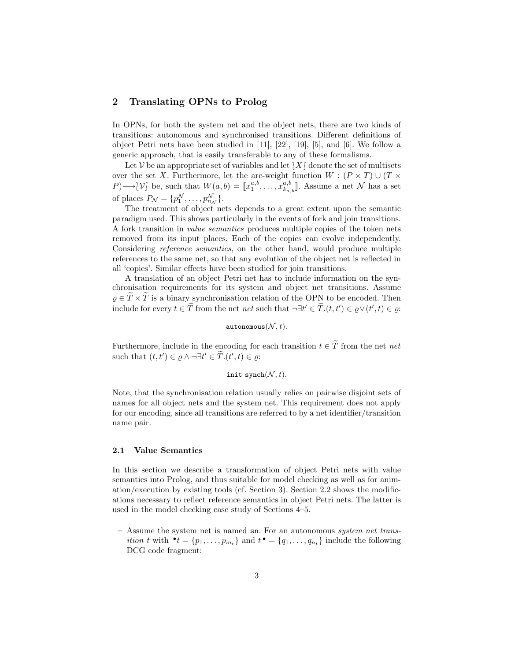# 2 Translating OPNs to Prolog

In OPNs, for both the system net and the object nets, there are two kinds of transitions: autonomous and synchronised transitions. Different definitions of object Petri nets have been studied in  $[11]$ ,  $[22]$ ,  $[19]$ ,  $[5]$ , and  $[6]$ . We follow a generic approach, that is easily transferable to any of these formalisms.

Let V be an appropriate set of variables and let  $\chi\uparrow\chi$  denote the set of multisets over the set X. Furthermore, let the arc-weight function  $W : (P \times T) \cup (T \times T)$  $P$ ) → { $V$ ∫ be, such that  $W(a, b) = [\![x_1^{a,b}, \ldots, x_{k_{a,b}}^{a,b}]\!]$ . Assume a net  $\mathcal N$  has a set of places  $P_{\mathcal{N}} = \{p_1^{\mathcal{N}}, \dots, p_{n_{\mathcal{N}}}^{\mathcal{N}}\}.$ 

The treatment of object nets depends to a great extent upon the semantic paradigm used. This shows particularly in the events of fork and join transitions. A fork transition in value semantics produces multiple copies of the token nets removed from its input places. Each of the copies can evolve independently. Considering reference semantics, on the other hand, would produce multiple references to the same net, so that any evolution of the object net is reflected in all 'copies'. Similar effects have been studied for join transitions.

A translation of an object Petri net has to include information on the synchronisation requirements for its system and object net transitions. Assume  $\rho \in \tilde{T} \times \tilde{T}$  is a binary synchronisation relation of the OPN to be encoded. Then include for every  $t \in \tilde{T}$  from the net net such that  $\neg \exists t' \in \tilde{T} \cdot (t, t') \in \varrho \vee (t', t) \in \varrho$ :

$$
{\tt autonomous}(\mathcal{N},t).
$$

Furthermore, include in the encoding for each transition  $t \in \tilde{T}$  from the net net such that  $(t, t') \in \varrho \wedge \neg \exists t' \in \tilde{T} . (t', t) \in \varrho$ :

$$
\mathtt{init\_synch}(\mathcal{N}, t).
$$

Note, that the synchronisation relation usually relies on pairwise disjoint sets of names for all object nets and the system net. This requirement does not apply for our encoding, since all transitions are referred to by a net identifier/transition name pair.

#### 2.1 Value Semantics

In this section we describe a transformation of object Petri nets with value semantics into Prolog, and thus suitable for model checking as well as for animation/execution by existing tools (cf. Section 3). Section 2.2 shows the modifications necessary to reflect reference semantics in object Petri nets. The latter is used in the model checking case study of Sections 4–5.

 $-$  Assume the system net is named sn. For an autonomous system net trans*ition t* with  $\mathbf{t} = \{p_1, \ldots, p_{m_t}\}\$ and  $t \bullet \mathbf{t} = \{q_1, \ldots, q_{n_t}\}\$ include the following DCG code fragment: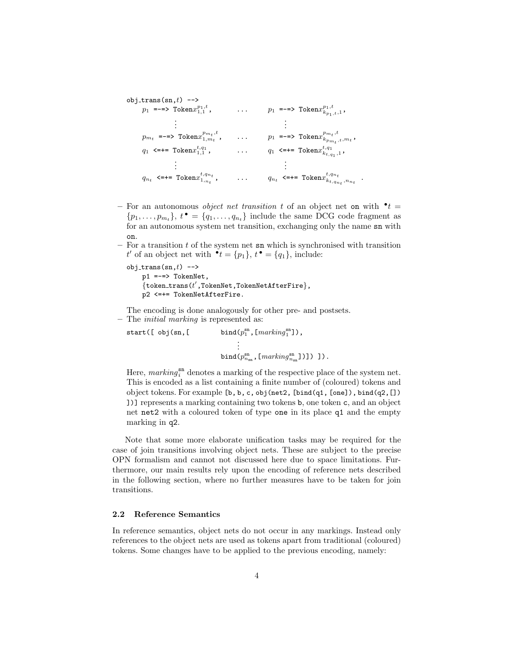```
obj\_trans(sn,t) -->
     p_1 =-> \text{Token } x_{1,1}^{p_1,t}, \qquad \qquad \ldots \qquad p_1 =-> \text{Token } x_{k_{p_1,t},1}^{p_1,t},.
.
                 .
.
.
.
     p_{m_t} =-=> Tokenx_{1,m_t}^{p_{m_t},t}, ... p_1 =-=> Tokenx_{k_{p_{m_t},t}}^{p_{m_t},t}\frac{m_t, v}{k_{p_{m_t},t},m_t} ,
     q_1 <=+= Tokenx_{1,1}^{t,q_1}, ... q_1 <=+= Tokenx_{k_{t,q_1},1}^{t,q_1},
                 .
.
.
.
.
.
     q_{n_t} <=+= Tokenx_{1,n_t}^{t,q_{n_t}}, ... q_{n_t} <=+= Tokenx_{k_{t,q_n}}^{t,q_{n_t}}k_{t,q_{n_t},n_{n_t}} .
```
- For an autonomous *object net transition* t of an object net on with  $\cdot t =$  $\{p_1, \ldots, p_{m_t}\}\$ ,  $t^{\bullet} = \{q_1, \ldots, q_{n_t}\}\$ include the same DCG code fragment as for an autonomous system net transition, exchanging only the name sn with on.
- $-$  For a transition t of the system net sn which is synchronised with transition  $t'$  of an object net with  $\bullet t = \{p_1\}, t \bullet = \{q_1\}, \text{ include: }$

```
obj\_trans(sin, t) -->
     p1 =-=> TokenNet,
     \{{\tt token\_trans}(t', {\tt TokenNet}, {\tt TokenNetAfterFire}\},
     p2 <=+= TokenNetAfterFire.
```
The encoding is done analogously for other pre- and postsets. – The initial marking is represented as:

 $start([obj(sn, [$  $_{1}^{\mathrm{sn}}$ , [marking $_{1}^{\mathrm{sn}}$ ]), . . . bind( $p_{n_{\rm sn}}^{\rm sn}$ , [ $marking_{n_{\rm sn}}^{\rm sn}$ ])]) ]).

Here,  $marking_i^{\text{sn}}$  denotes a marking of the respective place of the system net. This is encoded as a list containing a finite number of (coloured) tokens and object tokens. For example  $[b, b, c, obj(net2, [bind(q1, [one]), bind(q2, [])]$ ])] represents a marking containing two tokens b, one token c, and an object net net2 with a coloured token of type one in its place q1 and the empty marking in q2.

Note that some more elaborate unification tasks may be required for the case of join transitions involving object nets. These are subject to the precise OPN formalism and cannot not discussed here due to space limitations. Furthermore, our main results rely upon the encoding of reference nets described in the following section, where no further measures have to be taken for join transitions.

## 2.2 Reference Semantics

In reference semantics, object nets do not occur in any markings. Instead only references to the object nets are used as tokens apart from traditional (coloured) tokens. Some changes have to be applied to the previous encoding, namely: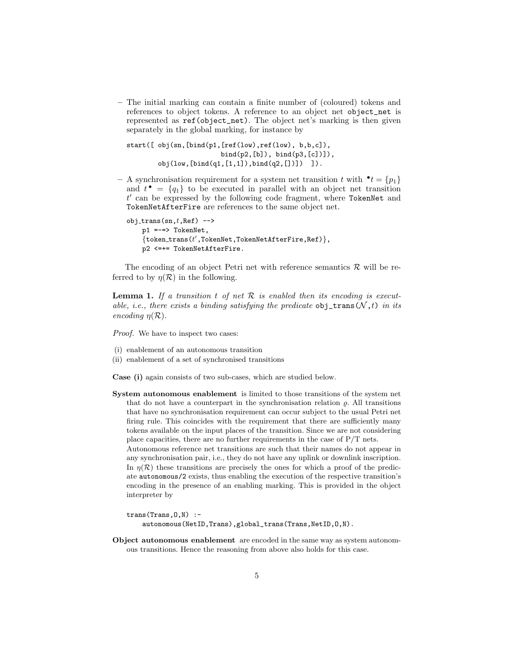– The initial marking can contain a finite number of (coloured) tokens and references to object tokens. A reference to an object net object\_net is represented as ref(object\_net). The object net's marking is then given separately in the global marking, for instance by

```
start([ obj(sn,[bind(p1,[ref(low),ref(low), b,b,c]),
                        bind(p2,[b]), bind(p3,[c])]),
        obj(low,[bind(q1,[1,1]),bind(q2,[])]) ]).
```
- A synchronisation requirement for a system net transition t with  $\mathbf{t} = \{p_1\}$ and  $t^{\bullet} = \{q_1\}$  to be executed in parallel with an object net transition  $t'$  can be expressed by the following code fragment, where TokenNet and TokenNetAfterFire are references to the same object net.

```
obj\_trans(sin, t, Ref) -->
     p1 =-=> TokenNet,
      \{\mathtt{token\_trans}(t',\mathtt{TokenNet},\mathtt{TokenNetAfterFire},\mathtt{Ref})\},
     p2 <=+= TokenNetAfterFire.
```
The encoding of an object Petri net with reference semantics  $\mathcal{R}$  will be referred to by  $\eta(\mathcal{R})$  in the following.

**Lemma 1.** If a transition t of net  $\mathcal{R}$  is enabled then its encoding is executable, i.e., there exists a binding satisfying the predicate  $obj\_trans(N, t)$  in its encoding  $\eta(\mathcal{R})$ .

*Proof.* We have to inspect two cases:

- (i) enablement of an autonomous transition
- (ii) enablement of a set of synchronised transitions

Case (i) again consists of two sub-cases, which are studied below.

System autonomous enablement is limited to those transitions of the system net that do not have a counterpart in the synchronisation relation  $\rho$ . All transitions that have no synchronisation requirement can occur subject to the usual Petri net firing rule. This coincides with the requirement that there are sufficiently many tokens available on the input places of the transition. Since we are not considering place capacities, there are no further requirements in the case of P/T nets. Autonomous reference net transitions are such that their names do not appear in any synchronisation pair, i.e., they do not have any uplink or downlink inscription. In  $\eta(\mathcal{R})$  these transitions are precisely the ones for which a proof of the predicate autonomous/2 exists, thus enabling the execution of the respective transition's encoding in the presence of an enabling marking. This is provided in the object interpreter by

trans(Trans,O,N) : autonomous(NetID,Trans),global\_trans(Trans,NetID,O,N).

Object autonomous enablement are encoded in the same way as system autonomous transitions. Hence the reasoning from above also holds for this case.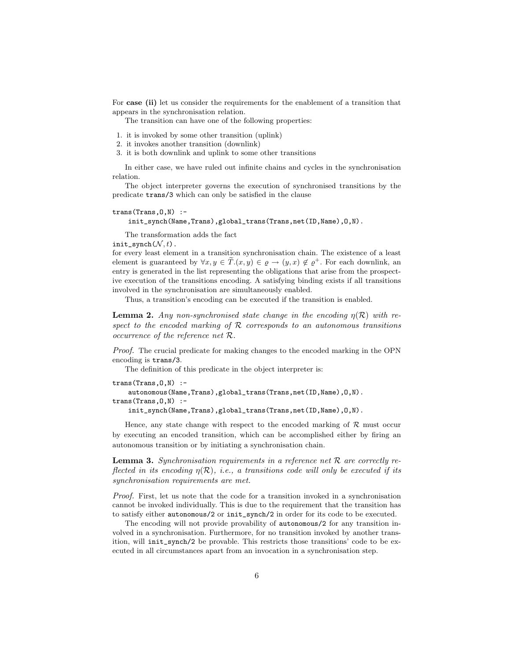For case (ii) let us consider the requirements for the enablement of a transition that appears in the synchronisation relation.

The transition can have one of the following properties:

- 1. it is invoked by some other transition (uplink)
- 2. it invokes another transition (downlink)
- 3. it is both downlink and uplink to some other transitions

In either case, we have ruled out infinite chains and cycles in the synchronisation relation.

The object interpreter governs the execution of synchronised transitions by the predicate trans/3 which can only be satisfied in the clause

```
trans(Trans, 0, N) :-
```
init\_synch(Name,Trans),global\_trans(Trans,net(ID,Name),O,N).

The transformation adds the fact

init\_synch $(\mathcal{N}, t)$ .

for every least element in a transition synchronisation chain. The existence of a least element is guaranteed by  $\forall x, y \in \tilde{T} \ (x, y) \in \varrho \rightarrow (y, x) \notin \varrho^+$ . For each downlink, an entry is generated in the list representing the obligations that arise from the prospective execution of the transitions encoding. A satisfying binding exists if all transitions involved in the synchronisation are simultaneously enabled.

Thus, a transition's encoding can be executed if the transition is enabled.

**Lemma 2.** Any non-synchronised state change in the encoding  $\eta(\mathcal{R})$  with respect to the encoded marking of  $R$  corresponds to an autonomous transitions occurrence of the reference net R.

Proof. The crucial predicate for making changes to the encoded marking in the OPN encoding is trans/3.

The definition of this predicate in the object interpreter is:

```
trans(Trans, 0, N) :-
    autonomous(Name,Trans),global_trans(Trans,net(ID,Name),O,N).
trans(Trans,O,N) :-
    init_synch(Name,Trans),global_trans(Trans,net(ID,Name),O,N).
```
Hence, any state change with respect to the encoded marking of  $R$  must occur by executing an encoded transition, which can be accomplished either by firing an autonomous transition or by initiating a synchronisation chain.

**Lemma 3.** Synchronisation requirements in a reference net  $\mathcal{R}$  are correctly reflected in its encoding  $\eta(\mathcal{R})$ , i.e., a transitions code will only be executed if its synchronisation requirements are met.

Proof. First, let us note that the code for a transition invoked in a synchronisation cannot be invoked individually. This is due to the requirement that the transition has to satisfy either autonomous/2 or init\_synch/2 in order for its code to be executed.

The encoding will not provide provability of autonomous/2 for any transition involved in a synchronisation. Furthermore, for no transition invoked by another transition, will init\_synch/2 be provable. This restricts those transitions' code to be executed in all circumstances apart from an invocation in a synchronisation step.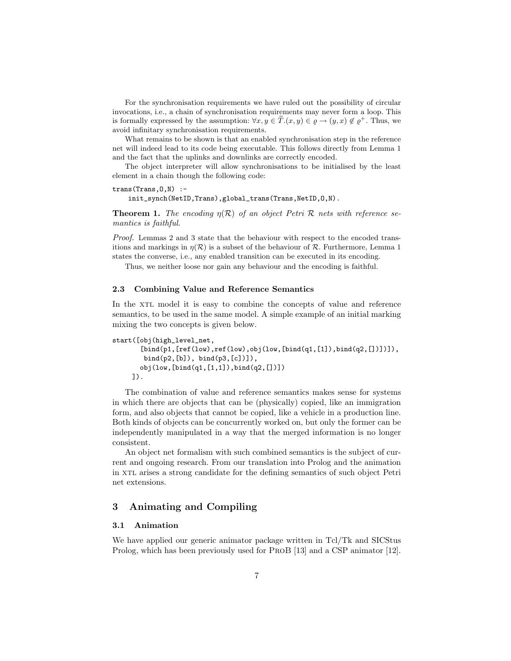For the synchronisation requirements we have ruled out the possibility of circular invocations, i.e., a chain of synchronisation requirements may never form a loop. This is formally expressed by the assumption:  $\forall x, y \in \tilde{T} \ (x, y) \in \varrho \to (y, x) \notin \varrho^+$ . Thus, we avoid infinitary synchronisation requirements.

What remains to be shown is that an enabled synchronisation step in the reference net will indeed lead to its code being executable. This follows directly from Lemma 1 and the fact that the uplinks and downlinks are correctly encoded.

The object interpreter will allow synchronisations to be initialised by the least element in a chain though the following code:

```
trans(Trans, 0, N) :-
    init_synch(NetID,Trans),global_trans(Trans,NetID,O,N).
```
**Theorem 1.** The encoding  $\eta(\mathcal{R})$  of an object Petri  $\mathcal{R}$  nets with reference semantics is faithful.

Proof. Lemmas 2 and 3 state that the behaviour with respect to the encoded transitions and markings in  $\eta(\mathcal{R})$  is a subset of the behaviour of  $\mathcal{R}$ . Furthermore, Lemma 1 states the converse, i.e., any enabled transition can be executed in its encoding.

Thus, we neither loose nor gain any behaviour and the encoding is faithful.

#### 2.3 Combining Value and Reference Semantics

In the XTL model it is easy to combine the concepts of value and reference semantics, to be used in the same model. A simple example of an initial marking mixing the two concepts is given below.

```
start([obj(high_level_net,
       [bind(p1, [ref(low), ref(low), obj(low, [bind(q1, [1]), bind(q2, [1)])]),bind(p2,[b]), bind(p3,[c])]),
       obj(low,[bind(q1,[1,1]),bind(q2,[])])
     ]).
```
The combination of value and reference semantics makes sense for systems in which there are objects that can be (physically) copied, like an immigration form, and also objects that cannot be copied, like a vehicle in a production line. Both kinds of objects can be concurrently worked on, but only the former can be independently manipulated in a way that the merged information is no longer consistent.

An object net formalism with such combined semantics is the subject of current and ongoing research. From our translation into Prolog and the animation in xtl arises a strong candidate for the defining semantics of such object Petri net extensions.

# 3 Animating and Compiling

#### 3.1 Animation

We have applied our generic animator package written in Tcl/Tk and SICStus Prolog, which has been previously used for ProB [13] and a CSP animator [12].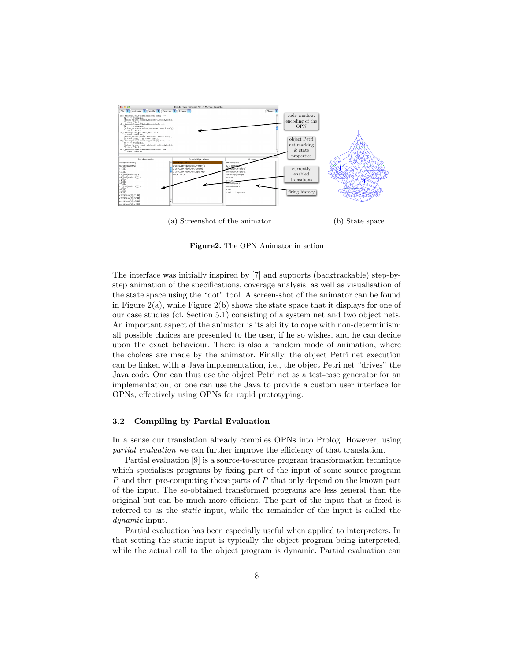

Figure2. The OPN Animator in action

The interface was initially inspired by [7] and supports (backtrackable) step-bystep animation of the specifications, coverage analysis, as well as visualisation of the state space using the "dot" tool. A screen-shot of the animator can be found in Figure 2(a), while Figure 2(b) shows the state space that it displays for one of our case studies (cf. Section 5.1) consisting of a system net and two object nets. An important aspect of the animator is its ability to cope with non-determinism: all possible choices are presented to the user, if he so wishes, and he can decide upon the exact behaviour. There is also a random mode of animation, where the choices are made by the animator. Finally, the object Petri net execution can be linked with a Java implementation, i.e., the object Petri net "drives" the Java code. One can thus use the object Petri net as a test-case generator for an implementation, or one can use the Java to provide a custom user interface for OPNs, effectively using OPNs for rapid prototyping.

## 3.2 Compiling by Partial Evaluation

In a sense our translation already compiles OPNs into Prolog. However, using partial evaluation we can further improve the efficiency of that translation.

Partial evaluation [9] is a source-to-source program transformation technique which specialises programs by fixing part of the input of some source program P and then pre-computing those parts of P that only depend on the known part of the input. The so-obtained transformed programs are less general than the original but can be much more efficient. The part of the input that is fixed is referred to as the static input, while the remainder of the input is called the dynamic input.

Partial evaluation has been especially useful when applied to interpreters. In that setting the static input is typically the object program being interpreted, while the actual call to the object program is dynamic. Partial evaluation can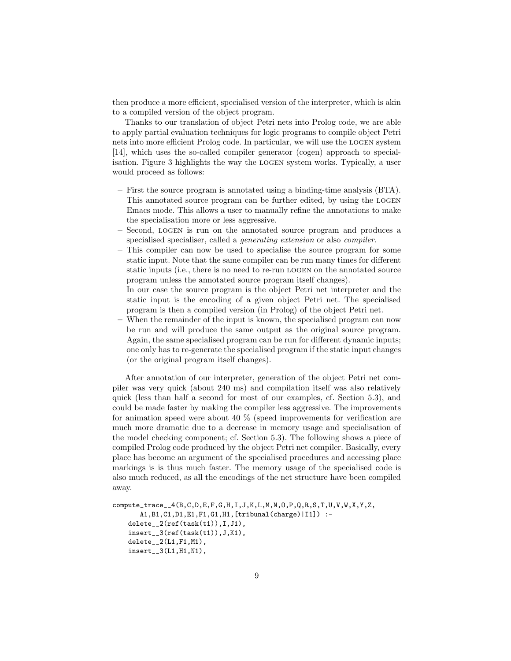then produce a more efficient, specialised version of the interpreter, which is akin to a compiled version of the object program.

Thanks to our translation of object Petri nets into Prolog code, we are able to apply partial evaluation techniques for logic programs to compile object Petri nets into more efficient Prolog code. In particular, we will use the logen system [14], which uses the so-called compiler generator (cogen) approach to specialisation. Figure 3 highlights the way the logen system works. Typically, a user would proceed as follows:

- First the source program is annotated using a binding-time analysis (BTA). This annotated source program can be further edited, by using the logen Emacs mode. This allows a user to manually refine the annotations to make the specialisation more or less aggressive.
- Second, logen is run on the annotated source program and produces a specialised specialiser, called a generating extension or also compiler.
- This compiler can now be used to specialise the source program for some static input. Note that the same compiler can be run many times for different static inputs (i.e., there is no need to re-run logen on the annotated source program unless the annotated source program itself changes).

In our case the source program is the object Petri net interpreter and the static input is the encoding of a given object Petri net. The specialised program is then a compiled version (in Prolog) of the object Petri net.

– When the remainder of the input is known, the specialised program can now be run and will produce the same output as the original source program. Again, the same specialised program can be run for different dynamic inputs; one only has to re-generate the specialised program if the static input changes (or the original program itself changes).

After annotation of our interpreter, generation of the object Petri net compiler was very quick (about 240 ms) and compilation itself was also relatively quick (less than half a second for most of our examples, cf. Section 5.3), and could be made faster by making the compiler less aggressive. The improvements for animation speed were about 40 % (speed improvements for verification are much more dramatic due to a decrease in memory usage and specialisation of the model checking component; cf. Section 5.3). The following shows a piece of compiled Prolog code produced by the object Petri net compiler. Basically, every place has become an argument of the specialised procedures and accessing place markings is is thus much faster. The memory usage of the specialised code is also much reduced, as all the encodings of the net structure have been compiled away.

```
compute_trace__4(B,C,D,E,F,G,H,I,J,K,L,M,N,O,P,Q,R,S,T,U,V,W,X,Y,Z,
       A1,B1,C1,D1,E1,F1,G1,H1,[tribunal(charge)|I1]) :-
    delete__2(ref(task(t1)),I,J1),
    insert__3(ref(task(t1)),J,K1),
    delete__2(L1,F1,M1),
    insert__3(L1,H1,N1),
```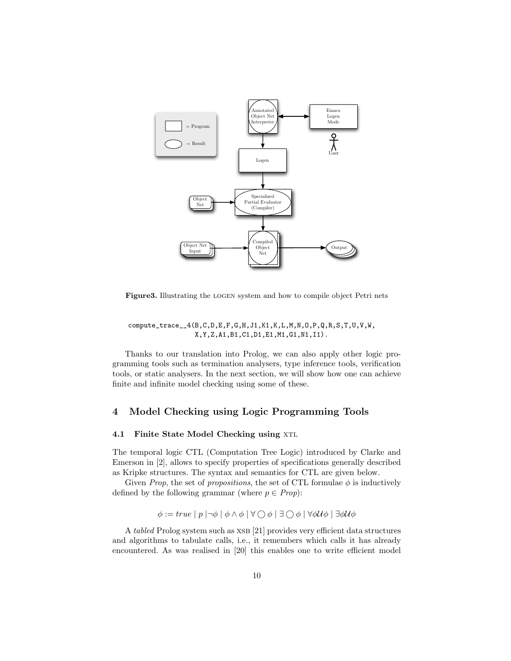

Figure3. Illustrating the logen system and how to compile object Petri nets

## compute\_trace\_\_4(B,C,D,E,F,G,H,J1,K1,K,L,M,N,O,P,Q,R,S,T,U,V,W, X,Y,Z,A1,B1,C1,D1,E1,M1,G1,N1,I1).

Thanks to our translation into Prolog, we can also apply other logic programming tools such as termination analysers, type inference tools, verification tools, or static analysers. In the next section, we will show how one can achieve finite and infinite model checking using some of these.

# 4 Model Checking using Logic Programming Tools

## 4.1 Finite State Model Checking using XTL

The temporal logic CTL (Computation Tree Logic) introduced by Clarke and Emerson in [2], allows to specify properties of specifications generally described as Kripke structures. The syntax and semantics for CTL are given below.

Given *Prop*, the set of *propositions*, the set of CTL formulae  $\phi$  is inductively defined by the following grammar (where  $p \in Prop$ ):

$$
\phi := true \mid p \mid \neg \phi \mid \phi \land \phi \mid \forall \bigcirc \phi \mid \exists \bigcirc \phi \mid \forall \phi \mathcal{U} \phi \mid \exists \phi \mathcal{U} \phi
$$

A tabled Prolog system such as XSB [21] provides very efficient data structures and algorithms to tabulate calls, i.e., it remembers which calls it has already encountered. As was realised in [20] this enables one to write efficient model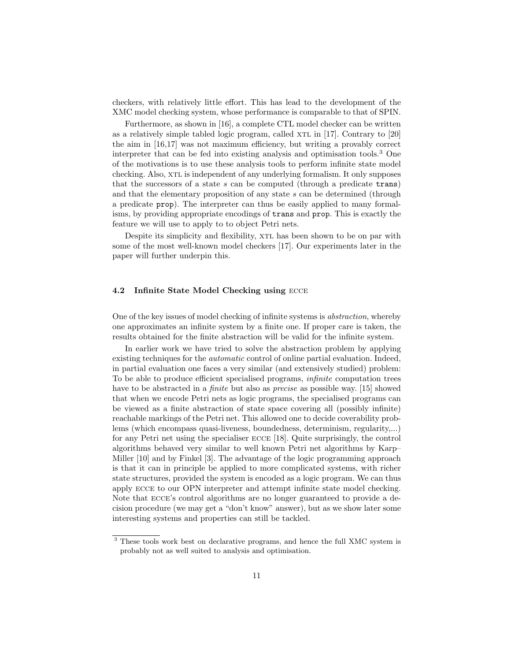checkers, with relatively little effort. This has lead to the development of the XMC model checking system, whose performance is comparable to that of SPIN.

Furthermore, as shown in [16], a complete CTL model checker can be written as a relatively simple tabled logic program, called XTL in  $[17]$ . Contrary to  $[20]$ the aim in [16,17] was not maximum efficiency, but writing a provably correct interpreter that can be fed into existing analysis and optimisation tools.<sup>3</sup> One of the motivations is to use these analysis tools to perform infinite state model checking. Also, XTL is independent of any underlying formalism. It only supposes that the successors of a state s can be computed (through a predicate  $trans$ ) and that the elementary proposition of any state s can be determined (through a predicate prop). The interpreter can thus be easily applied to many formalisms, by providing appropriate encodings of trans and prop. This is exactly the feature we will use to apply to to object Petri nets.

Despite its simplicity and flexibility, XTL has been shown to be on par with some of the most well-known model checkers [17]. Our experiments later in the paper will further underpin this.

#### 4.2 Infinite State Model Checking using ecce

One of the key issues of model checking of infinite systems is abstraction, whereby one approximates an infinite system by a finite one. If proper care is taken, the results obtained for the finite abstraction will be valid for the infinite system.

In earlier work we have tried to solve the abstraction problem by applying existing techniques for the *automatic* control of online partial evaluation. Indeed, in partial evaluation one faces a very similar (and extensively studied) problem: To be able to produce efficient specialised programs, infinite computation trees have to be abstracted in a *finite* but also as *precise* as possible way. [15] showed that when we encode Petri nets as logic programs, the specialised programs can be viewed as a finite abstraction of state space covering all (possibly infinite) reachable markings of the Petri net. This allowed one to decide coverability problems (which encompass quasi-liveness, boundedness, determinism, regularity,...) for any Petri net using the specialiser ecce [18]. Quite surprisingly, the control algorithms behaved very similar to well known Petri net algorithms by Karp– Miller [10] and by Finkel [3]. The advantage of the logic programming approach is that it can in principle be applied to more complicated systems, with richer state structures, provided the system is encoded as a logic program. We can thus apply ecce to our OPN interpreter and attempt infinite state model checking. Note that ecce's control algorithms are no longer guaranteed to provide a decision procedure (we may get a "don't know" answer), but as we show later some interesting systems and properties can still be tackled.

<sup>&</sup>lt;sup>3</sup> These tools work best on declarative programs, and hence the full XMC system is probably not as well suited to analysis and optimisation.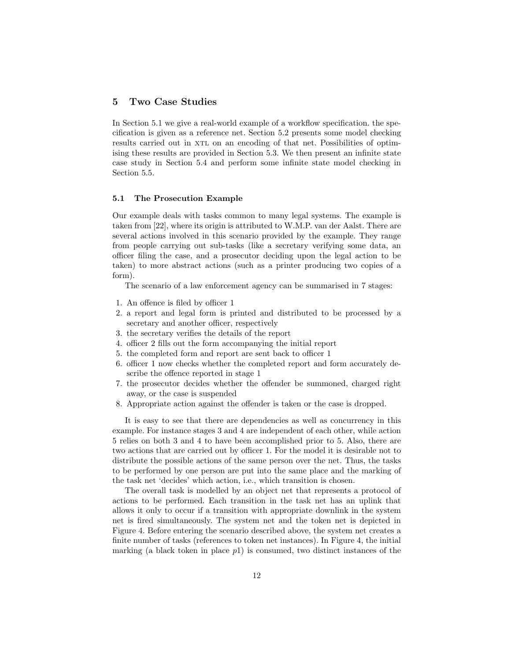# 5 Two Case Studies

In Section 5.1 we give a real-world example of a workflow specification. the specification is given as a reference net. Section 5.2 presents some model checking results carried out in xtl on an encoding of that net. Possibilities of optimising these results are provided in Section 5.3. We then present an infinite state case study in Section 5.4 and perform some infinite state model checking in Section 5.5.

#### 5.1 The Prosecution Example

Our example deals with tasks common to many legal systems. The example is taken from [22], where its origin is attributed to W.M.P. van der Aalst. There are several actions involved in this scenario provided by the example. They range from people carrying out sub-tasks (like a secretary verifying some data, an officer filing the case, and a prosecutor deciding upon the legal action to be taken) to more abstract actions (such as a printer producing two copies of a form).

The scenario of a law enforcement agency can be summarised in 7 stages:

- 1. An offence is filed by officer 1
- 2. a report and legal form is printed and distributed to be processed by a secretary and another officer, respectively
- 3. the secretary verifies the details of the report
- 4. officer 2 fills out the form accompanying the initial report
- 5. the completed form and report are sent back to officer 1
- 6. officer 1 now checks whether the completed report and form accurately describe the offence reported in stage 1
- 7. the prosecutor decides whether the offender be summoned, charged right away, or the case is suspended
- 8. Appropriate action against the offender is taken or the case is dropped.

It is easy to see that there are dependencies as well as concurrency in this example. For instance stages 3 and 4 are independent of each other, while action 5 relies on both 3 and 4 to have been accomplished prior to 5. Also, there are two actions that are carried out by officer 1. For the model it is desirable not to distribute the possible actions of the same person over the net. Thus, the tasks to be performed by one person are put into the same place and the marking of the task net 'decides' which action, i.e., which transition is chosen.

The overall task is modelled by an object net that represents a protocol of actions to be performed. Each transition in the task net has an uplink that allows it only to occur if a transition with appropriate downlink in the system net is fired simultaneously. The system net and the token net is depicted in Figure 4. Before entering the scenario described above, the system net creates a finite number of tasks (references to token net instances). In Figure 4, the initial marking (a black token in place  $p_1$ ) is consumed, two distinct instances of the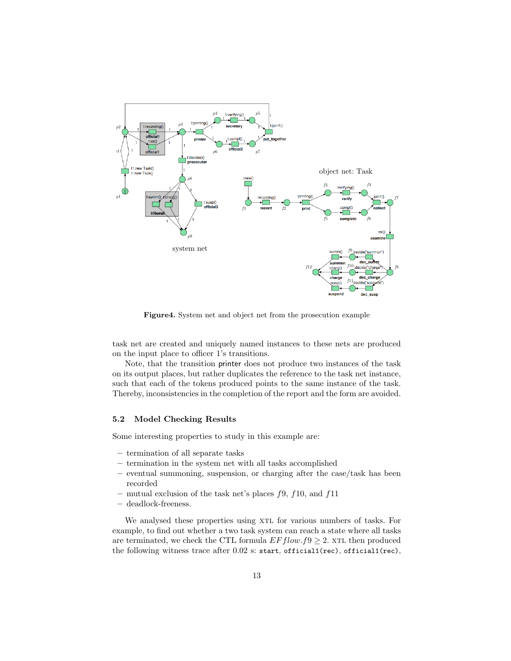

Figure4. System net and object net from the prosecution example

task net are created and uniquely named instances to these nets are produced on the input place to officer 1's transitions.

Note, that the transition printer does not produce two instances of the task on its output places, but rather duplicates the reference to the task net instance, such that each of the tokens produced points to the same instance of the task. Thereby, inconsistencies in the completion of the report and the form are avoided.

## 5.2 Model Checking Results

Some interesting properties to study in this example are:

- termination of all separate tasks
- termination in the system net with all tasks accomplished
- eventual summoning, suspension, or charging after the case/task has been recorded
- mutual exclusion of the task net's places  $f9, f10,$  and  $f11$
- deadlock-freeness.

We analysed these properties using XTL for various numbers of tasks. For example, to find out whether a two task system can reach a state where all tasks are terminated, we check the CTL formula  $Efflow.f9 \geq 2$ . XTL then produced the following witness trace after 0.02 s: start, official1(rec), official1(rec),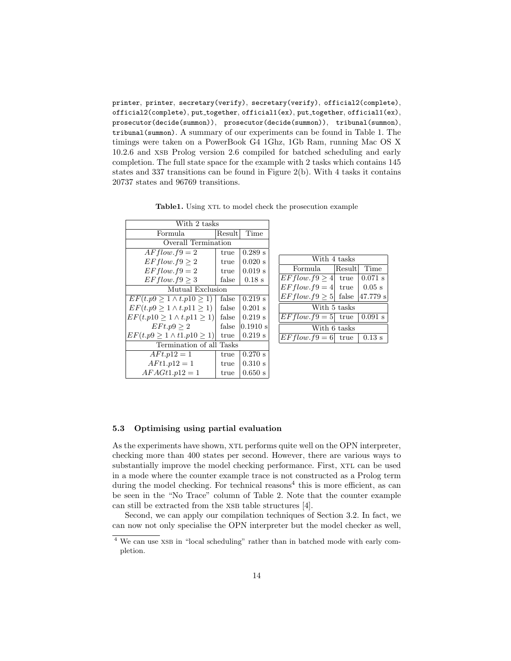printer, printer, secretary(verify), secretary(verify), official2(complete), official2(complete), put together, official1(ex), put together, official1(ex), prosecutor(decide(summon)), prosecutor(decide(summon)), tribunal(summon), tribunal(summon). A summary of our experiments can be found in Table 1. The timings were taken on a PowerBook G4 1Ghz, 1Gb Ram, running Mac OS X 10.2.6 and XSB Prolog version 2.6 compiled for batched scheduling and early completion. The full state space for the example with 2 tasks which contains 145 states and 337 transitions can be found in Figure 2(b). With 4 tasks it contains 20737 states and 96769 transitions.

Table1. Using XTL to model check the prosecution example

| With 2 tasks                           |                     |                    |  |  |  |
|----------------------------------------|---------------------|--------------------|--|--|--|
| Formula                                | Result              | Time               |  |  |  |
|                                        | Overall Termination |                    |  |  |  |
| $AFflow.f9 = 2$                        | $_{\rm true}$       | $0.289$ s          |  |  |  |
| EFflow.f9 > 2                          | true                | $0.020$ s          |  |  |  |
| $EFflow.f9 = 2$                        | true                | $0.019$ s          |  |  |  |
| EFflow.f9 > 3                          | false               | $0.18$ s           |  |  |  |
| Mutual Exclusion                       |                     |                    |  |  |  |
| $EF(t.p9 \geq 1 \wedge t.p10 \geq 1)$  | false               | 0.219 s            |  |  |  |
| $EF(t.p9 \geq 1 \wedge t.p11 \geq 1)$  | false               | $0.201$ s          |  |  |  |
| $EF(t.p10 \geq 1 \land t.p11 \geq 1)$  | false               | $0.219$ s          |  |  |  |
| E F t . p9 > 2                         | false               | 0.1910 s           |  |  |  |
| $EF(t, p9 \ge 1 \wedge t1. p10 \ge 1)$ | true                | $0.219$ s          |  |  |  |
| Termination of all Tasks               |                     |                    |  |  |  |
| $AFt.p12=1$                            | true                | $0.270$ s          |  |  |  |
| $AFt1.p12 = 1$                         | true                | $0.310~\mathrm{s}$ |  |  |  |
| $AFAGt1.p12=1$                         | true                | $0.650~{\rm s}$    |  |  |  |

| With 4 tasks         |        |           |  |  |
|----------------------|--------|-----------|--|--|
| Formula              | Result | Time      |  |  |
| $EFflow.f9 \geq 4$   | true   | $0.071$ s |  |  |
| $EFflow.f9 = 4$      | true   | $0.05$ s  |  |  |
| $EFflow.f9 \geq 5$   | false  | 47.779 s  |  |  |
| With 5 tasks         |        |           |  |  |
| $EFflow.f9 = 5$ true |        | $0.091$ s |  |  |
| With 6 tasks         |        |           |  |  |
| $EFflow.f9=6$        | true   | $0.13$ s  |  |  |

### 5.3 Optimising using partial evaluation

As the experiments have shown, XTL performs quite well on the OPN interpreter, checking more than 400 states per second. However, there are various ways to substantially improve the model checking performance. First, XTL can be used in a mode where the counter example trace is not constructed as a Prolog term during the model checking. For technical reasons<sup>4</sup> this is more efficient, as can be seen in the "No Trace" column of Table 2. Note that the counter example can still be extracted from the  $xSB$  table structures [4].

Second, we can apply our compilation techniques of Section 3.2. In fact, we can now not only specialise the OPN interpreter but the model checker as well,

 $4$  We can use XSB in "local scheduling" rather than in batched mode with early completion.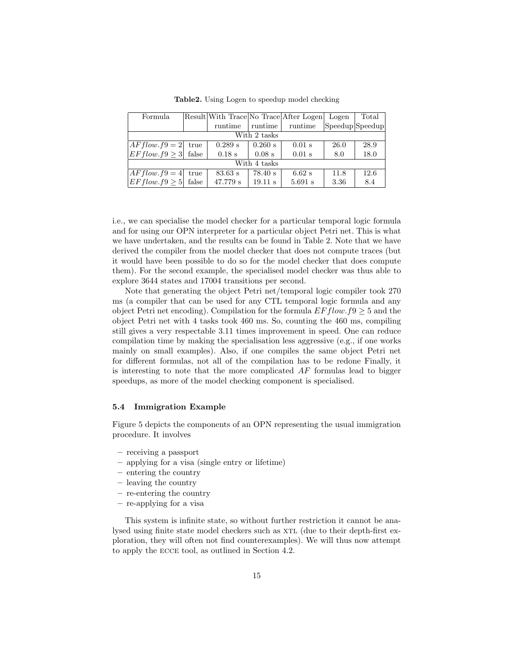| Formula                  |      |           |           | Result With Trace No Trace After Logen | Logen | Total           |
|--------------------------|------|-----------|-----------|----------------------------------------|-------|-----------------|
|                          |      | runtime   | runtime   | runtime                                |       | Speedup Speedup |
| With 2 tasks             |      |           |           |                                        |       |                 |
| $AFflow.f9 = 2$          | true | $0.289$ s | $0.260$ s | $0.01$ s                               | 26.0  | 28.9            |
| $EFflow.f9 \geq 3$ false |      | $0.18$ s  | $0.08$ s  | $0.01$ s                               | 8.0   | 18.0            |
| With 4 tasks             |      |           |           |                                        |       |                 |
| $AFflow.f9 = 4$          | true | $83.63$ s | 78.40 s   | $6.62$ s                               | 11.8  | 12.6            |
| $EFflow.f9 \geq 5$ false |      | 47.779 s  | 19.11 s   | $5.691$ s                              | 3.36  | 8.4             |

Table2. Using Logen to speedup model checking

i.e., we can specialise the model checker for a particular temporal logic formula and for using our OPN interpreter for a particular object Petri net. This is what we have undertaken, and the results can be found in Table 2. Note that we have derived the compiler from the model checker that does not compute traces (but it would have been possible to do so for the model checker that does compute them). For the second example, the specialised model checker was thus able to explore 3644 states and 17004 transitions per second.

Note that generating the object Petri net/temporal logic compiler took 270 ms (a compiler that can be used for any CTL temporal logic formula and any object Petri net encoding). Compilation for the formula  $Efflow.f9 \geq 5$  and the object Petri net with 4 tasks took 460 ms. So, counting the 460 ms, compiling still gives a very respectable 3.11 times improvement in speed. One can reduce compilation time by making the specialisation less aggressive (e.g., if one works mainly on small examples). Also, if one compiles the same object Petri net for different formulas, not all of the compilation has to be redone Finally, it is interesting to note that the more complicated  $AF$  formulas lead to bigger speedups, as more of the model checking component is specialised.

#### 5.4 Immigration Example

Figure 5 depicts the components of an OPN representing the usual immigration procedure. It involves

- receiving a passport
- applying for a visa (single entry or lifetime)
- entering the country
- leaving the country
- re-entering the country
- re-applying for a visa

This system is infinite state, so without further restriction it cannot be analysed using finite state model checkers such as XTL (due to their depth-first exploration, they will often not find counterexamples). We will thus now attempt to apply the ecce tool, as outlined in Section 4.2.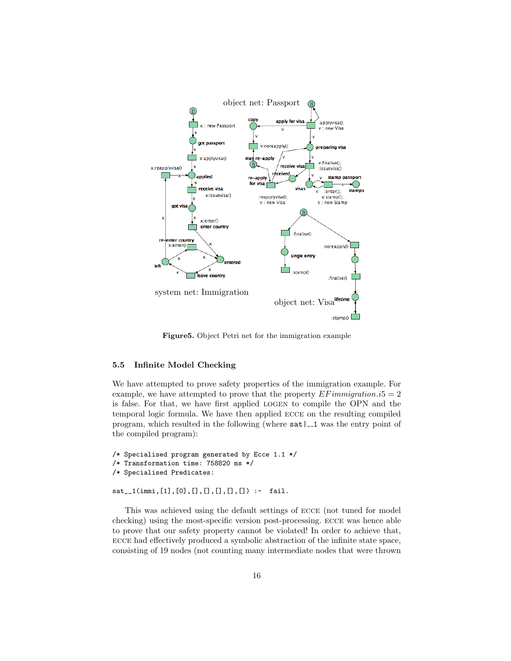

Figure5. Object Petri net for the immigration example

## 5.5 Infinite Model Checking

We have attempted to prove safety properties of the immigration example. For example, we have attempted to prove that the property EFimmigration.i5 = 2 is false. For that, we have first applied logen to compile the OPN and the temporal logic formula. We have then applied ecce on the resulting compiled program, which resulted in the following (where sat  $\lfloor -1 \rfloor$  was the entry point of the compiled program):

```
/* Specialised program generated by Ecce 1.1 */
/* Transformation time: 758820 ms */
/* Specialised Predicates:
```
sat\_\_1(immi,[1],[0],[],[],[],[],[]) :- fail.

This was achieved using the default settings of ecce (not tuned for model checking) using the most-specific version post-processing. ecce was hence able to prove that our safety property cannot be violated! In order to achieve that, ecce had effectively produced a symbolic abstraction of the infinite state space, consisting of 19 nodes (not counting many intermediate nodes that were thrown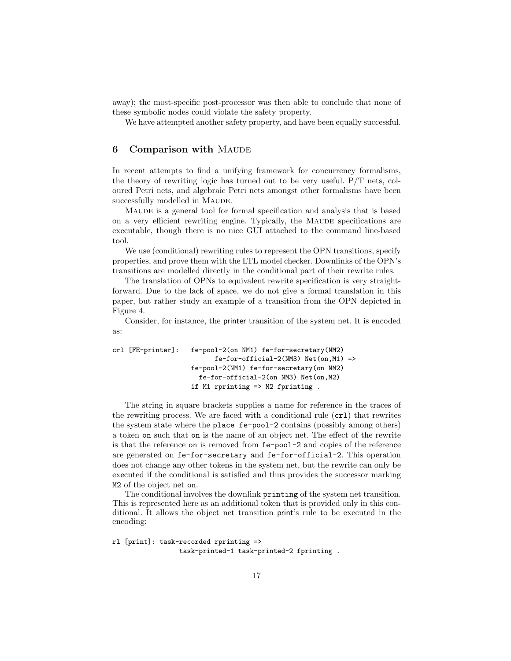away); the most-specific post-processor was then able to conclude that none of these symbolic nodes could violate the safety property.

We have attempted another safety property, and have been equally successful.

## 6 Comparison with MAUDE

In recent attempts to find a unifying framework for concurrency formalisms, the theory of rewriting logic has turned out to be very useful. P/T nets, coloured Petri nets, and algebraic Petri nets amongst other formalisms have been successfully modelled in MAUDE.

Maude is a general tool for formal specification and analysis that is based on a very efficient rewriting engine. Typically, the Maude specifications are executable, though there is no nice GUI attached to the command line-based tool.

We use (conditional) rewriting rules to represent the OPN transitions, specify properties, and prove them with the LTL model checker. Downlinks of the OPN's transitions are modelled directly in the conditional part of their rewrite rules.

The translation of OPNs to equivalent rewrite specification is very straightforward. Due to the lack of space, we do not give a formal translation in this paper, but rather study an example of a transition from the OPN depicted in Figure 4.

Consider, for instance, the printer transition of the system net. It is encoded as:

crl [FE-printer]: fe-pool-2(on NM1) fe-for-secretary(NM2)  $fe-for-official-2(NM3) Net(an, M1)$  => fe-pool-2(NM1) fe-for-secretary(on NM2) fe-for-official-2(on NM3) Net(on,M2) if M1 rprinting => M2 fprinting .

The string in square brackets supplies a name for reference in the traces of the rewriting process. We are faced with a conditional rule (crl) that rewrites the system state where the place fe-pool-2 contains (possibly among others) a token on such that on is the name of an object net. The effect of the rewrite is that the reference on is removed from fe-pool-2 and copies of the reference are generated on fe-for-secretary and fe-for-official-2. This operation does not change any other tokens in the system net, but the rewrite can only be executed if the conditional is satisfied and thus provides the successor marking M2 of the object net on.

The conditional involves the downlink printing of the system net transition. This is represented here as an additional token that is provided only in this conditional. It allows the object net transition print's rule to be executed in the encoding:

```
rl [print]: task-recorded rprinting =>
                 task-printed-1 task-printed-2 fprinting .
```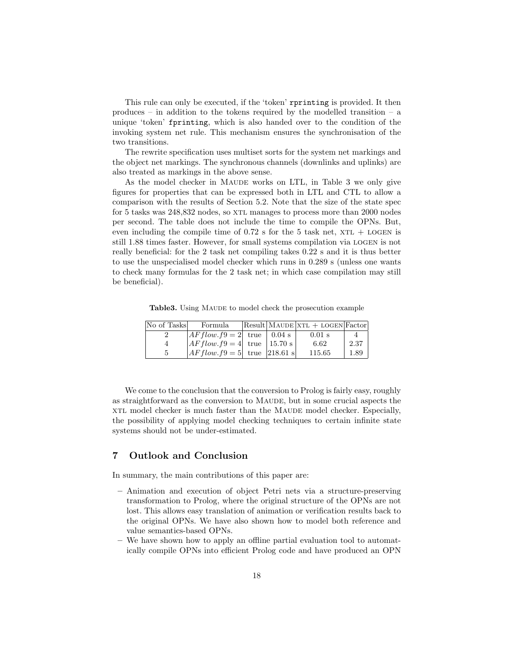This rule can only be executed, if the 'token' rprinting is provided. It then produces – in addition to the tokens required by the modelled transition – a unique 'token' fprinting, which is also handed over to the condition of the invoking system net rule. This mechanism ensures the synchronisation of the two transitions.

The rewrite specification uses multiset sorts for the system net markings and the object net markings. The synchronous channels (downlinks and uplinks) are also treated as markings in the above sense.

As the model checker in Maude works on LTL, in Table 3 we only give figures for properties that can be expressed both in LTL and CTL to allow a comparison with the results of Section 5.2. Note that the size of the state spec for 5 tasks was  $248,832$  nodes, so XTL manages to process more than 2000 nodes per second. The table does not include the time to compile the OPNs. But, even including the compile time of  $0.72$  s for the 5 task net,  $XTL + LOGEN$  is still 1.88 times faster. However, for small systems compilation via logen is not really beneficial: for the 2 task net compiling takes 0.22 s and it is thus better to use the unspecialised model checker which runs in 0.289 s (unless one wants to check many formulas for the 2 task net; in which case compilation may still be beneficial).

Table3. Using MAUDE to model check the prosecution example

| No of Tasks | Formula                        |  | $ Result $ MAUDE $ XTL + LOGEN Factor$ |      |
|-------------|--------------------------------|--|----------------------------------------|------|
|             | $ AFflow.f9=2 $ true   0.04 s  |  | $0.01$ s                               |      |
| 4           | $ AFflow.f9=4 $ true   15.70 s |  | 6.62                                   | 2.37 |
| 5           | $AFflow.f9 = 5$ true 218.61 s  |  | 115.65                                 | 1.89 |

We come to the conclusion that the conversion to Prolog is fairly easy, roughly as straightforward as the conversion to Maude, but in some crucial aspects the xtl model checker is much faster than the Maude model checker. Especially, the possibility of applying model checking techniques to certain infinite state systems should not be under-estimated.

# 7 Outlook and Conclusion

In summary, the main contributions of this paper are:

- Animation and execution of object Petri nets via a structure-preserving transformation to Prolog, where the original structure of the OPNs are not lost. This allows easy translation of animation or verification results back to the original OPNs. We have also shown how to model both reference and value semantics-based OPNs.
- We have shown how to apply an offline partial evaluation tool to automatically compile OPNs into efficient Prolog code and have produced an OPN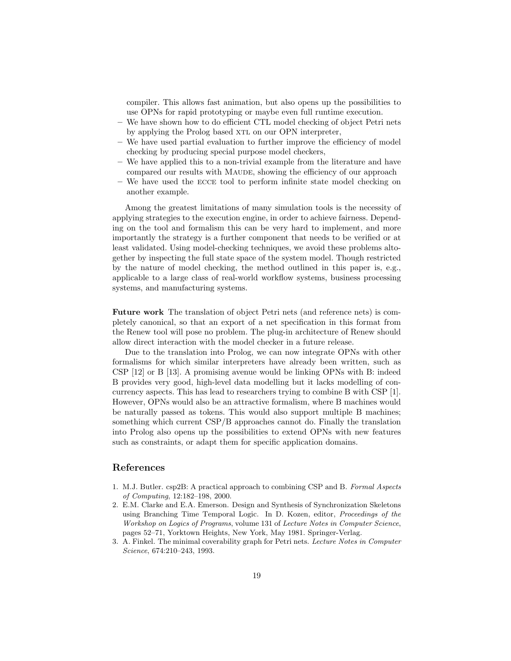compiler. This allows fast animation, but also opens up the possibilities to use OPNs for rapid prototyping or maybe even full runtime execution.

- We have shown how to do efficient CTL model checking of object Petri nets by applying the Prolog based XTL on our OPN interpreter,
- We have used partial evaluation to further improve the efficiency of model checking by producing special purpose model checkers,
- We have applied this to a non-trivial example from the literature and have compared our results with MAUDE, showing the efficiency of our approach
- We have used the ecce tool to perform infinite state model checking on another example.

Among the greatest limitations of many simulation tools is the necessity of applying strategies to the execution engine, in order to achieve fairness. Depending on the tool and formalism this can be very hard to implement, and more importantly the strategy is a further component that needs to be verified or at least validated. Using model-checking techniques, we avoid these problems altogether by inspecting the full state space of the system model. Though restricted by the nature of model checking, the method outlined in this paper is, e.g., applicable to a large class of real-world workflow systems, business processing systems, and manufacturing systems.

Future work The translation of object Petri nets (and reference nets) is completely canonical, so that an export of a net specification in this format from the Renew tool will pose no problem. The plug-in architecture of Renew should allow direct interaction with the model checker in a future release.

Due to the translation into Prolog, we can now integrate OPNs with other formalisms for which similar interpreters have already been written, such as CSP [12] or B [13]. A promising avenue would be linking OPNs with B: indeed B provides very good, high-level data modelling but it lacks modelling of concurrency aspects. This has lead to researchers trying to combine B with CSP [1]. However, OPNs would also be an attractive formalism, where B machines would be naturally passed as tokens. This would also support multiple B machines; something which current CSP/B approaches cannot do. Finally the translation into Prolog also opens up the possibilities to extend OPNs with new features such as constraints, or adapt them for specific application domains.

# References

- 1. M.J. Butler. csp2B: A practical approach to combining CSP and B. Formal Aspects of Computing, 12:182–198, 2000.
- 2. E.M. Clarke and E.A. Emerson. Design and Synthesis of Synchronization Skeletons using Branching Time Temporal Logic. In D. Kozen, editor, Proceedings of the Workshop on Logics of Programs, volume 131 of Lecture Notes in Computer Science, pages 52–71, Yorktown Heights, New York, May 1981. Springer-Verlag.
- 3. A. Finkel. The minimal coverability graph for Petri nets. Lecture Notes in Computer Science, 674:210–243, 1993.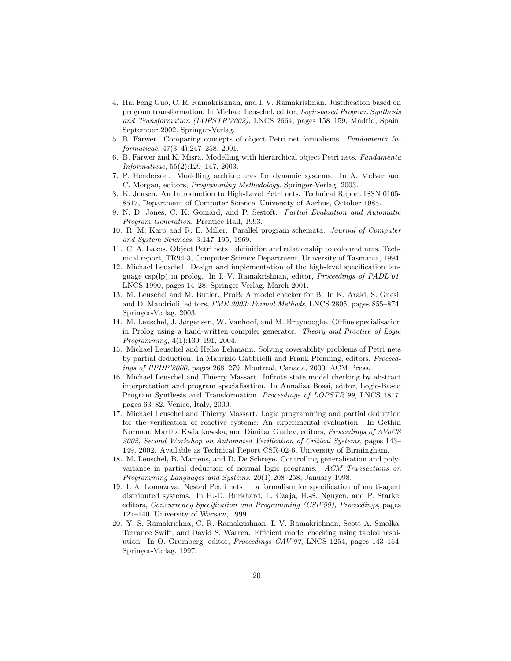- 4. Hai Feng Guo, C. R. Ramakrishnan, and I. V. Ramakrishnan. Justification based on program transformation. In Michael Leuschel, editor, Logic-based Program Synthesis and Transformation (LOPSTR'2002), LNCS 2664, pages 158–159, Madrid, Spain, September 2002. Springer-Verlag.
- 5. B. Farwer. Comparing concepts of object Petri net formalisms. Fundamenta Informaticae, 47(3–4):247–258, 2001.
- 6. B. Farwer and K. Misra. Modelling with hierarchical object Petri nets. Fundamenta Informaticae, 55(2):129–147, 2003.
- 7. P. Henderson. Modelling architectures for dynamic systems. In A. McIver and C. Morgan, editors, Programming Methodology. Springer-Verlag, 2003.
- 8. K. Jensen. An Introduction to High-Level Petri nets. Technical Report ISSN 0105- 8517, Department of Computer Science, University of Aarhus, October 1985.
- 9. N. D. Jones, C. K. Gomard, and P. Sestoft. Partial Evaluation and Automatic Program Generation. Prentice Hall, 1993.
- 10. R. M. Karp and R. E. Miller. Parallel program schemata. Journal of Computer and System Sciences, 3:147–195, 1969.
- 11. C. A. Lakos. Object Petri nets—definition and relationship to coloured nets. Technical report, TR94-3, Computer Science Department, University of Tasmania, 1994.
- 12. Michael Leuschel. Design and implementation of the high-level specification language csp(lp) in prolog. In I. V. Ramakrishnan, editor, Proceedings of PADL'01, LNCS 1990, pages 14–28. Springer-Verlag, March 2001.
- 13. M. Leuschel and M. Butler. ProB: A model checker for B. In K. Araki, S. Gnesi, and D. Mandrioli, editors, FME 2003: Formal Methods, LNCS 2805, pages 855–874. Springer-Verlag, 2003.
- 14. M. Leuschel, J. Jørgensen, W. Vanhoof, and M. Bruynooghe. Offline specialisation in Prolog using a hand-written compiler generator. Theory and Practice of Logic Programming, 4(1):139–191, 2004.
- 15. Michael Leuschel and Helko Lehmann. Solving coverability problems of Petri nets by partial deduction. In Maurizio Gabbrielli and Frank Pfenning, editors, Proceedings of PPDP'2000, pages 268–279, Montreal, Canada, 2000. ACM Press.
- 16. Michael Leuschel and Thierry Massart. Infinite state model checking by abstract interpretation and program specialisation. In Annalisa Bossi, editor, Logic-Based Program Synthesis and Transformation. Proceedings of LOPSTR'99, LNCS 1817, pages 63–82, Venice, Italy, 2000.
- 17. Michael Leuschel and Thierry Massart. Logic programming and partial deduction for the verification of reactive systems: An experimental evaluation. In Gethin Norman, Martha Kwiatkowska, and Dimitar Guelev, editors, Proceedings of AVoCS 2002, Second Workshop on Automated Verification of Critical Systems, pages 143– 149, 2002. Available as Technical Report CSR-02-6, University of Birmingham.
- 18. M. Leuschel, B. Martens, and D. De Schreye. Controlling generalisation and polyvariance in partial deduction of normal logic programs. ACM Transactions on Programming Languages and Systems, 20(1):208–258, January 1998.
- 19. I. A. Lomazova. Nested Petri nets a formalism for specification of multi-agent distributed systems. In H.-D. Burkhard, L. Czaja, H.-S. Nguyen, and P. Starke, editors, Concurrency Specification and Programming (CSP'99), Proceedings, pages 127–140. University of Warsaw, 1999.
- 20. Y. S. Ramakrishna, C. R. Ramakrishnan, I. V. Ramakrishnan, Scott A. Smolka, Terrance Swift, and David S. Warren. Efficient model checking using tabled resolution. In O. Grumberg, editor, Proceedings CAV'97, LNCS 1254, pages 143–154. Springer-Verlag, 1997.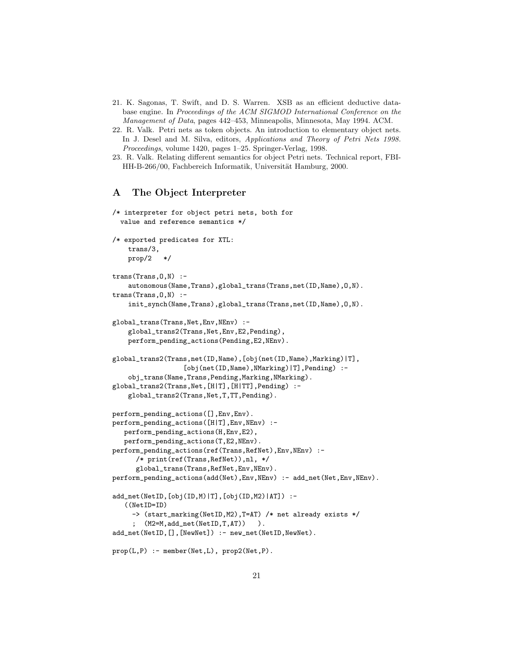- 21. K. Sagonas, T. Swift, and D. S. Warren. XSB as an efficient deductive database engine. In Proceedings of the ACM SIGMOD International Conference on the Management of Data, pages 442–453, Minneapolis, Minnesota, May 1994. ACM.
- 22. R. Valk. Petri nets as token objects. An introduction to elementary object nets. In J. Desel and M. Silva, editors, Applications and Theory of Petri Nets 1998. Proceedings, volume 1420, pages 1–25. Springer-Verlag, 1998.
- 23. R. Valk. Relating different semantics for object Petri nets. Technical report, FBI-HH-B-266/00, Fachbereich Informatik, Universität Hamburg, 2000.

# A The Object Interpreter

```
/* interpreter for object petri nets, both for
 value and reference semantics */
/* exported predicates for XTL:
    trans/3,
   prop/2 */
trans(Trans, 0, N) :-
    autonomous(Name,Trans),global_trans(Trans,net(ID,Name),O,N).
trans(Trans, 0, N) :-
    init_synch(Name,Trans),global_trans(Trans,net(ID,Name),O,N).
global_trans(Trans,Net,Env,NEnv) :-
    global_trans2(Trans,Net,Env,E2,Pending),
    perform_pending_actions(Pending,E2,NEnv).
global_trans2(Trans,net(ID,Name),[obj(net(ID,Name),Marking)|T],
                  [obj(net(ID,Name),NMarking)|T],Pending) :-
    obj_trans(Name,Trans,Pending,Marking,NMarking).
global_trans2(Trans,Net,[H|T],[H|TT],Pending) :-
    global_trans2(Trans,Net,T,TT,Pending).
perform_pending_actions([],Env,Env).
perform_pending_actions([H|T],Env,NEnv) :-
  perform_pending_actions(H,Env,E2),
   perform_pending_actions(T,E2,NEnv).
perform_pending_actions(ref(Trans,RefNet),Env,NEnv) :-
      /* print(ref(Trans,RefNet)),nl, */
      global_trans(Trans,RefNet,Env,NEnv).
perform_pending_actions(add(Net), Env, NEnv) :- add_net(Net, Env, NEnv).
add_net(NetID,[obj(ID,M)|T],[obj(ID,M2)|AT]) :-
   ((NetID=ID)
    -> (start_marking(NetID,M2),T=AT) /* net already exists */
     ; (M2=M,add_net(NetID,T,AT)) ).
add_net(NetID, [], [NewNet]) :- new_net(NetID, NewNet).
prop(L,P) :- member(Net,L), prop2(Net,P).
```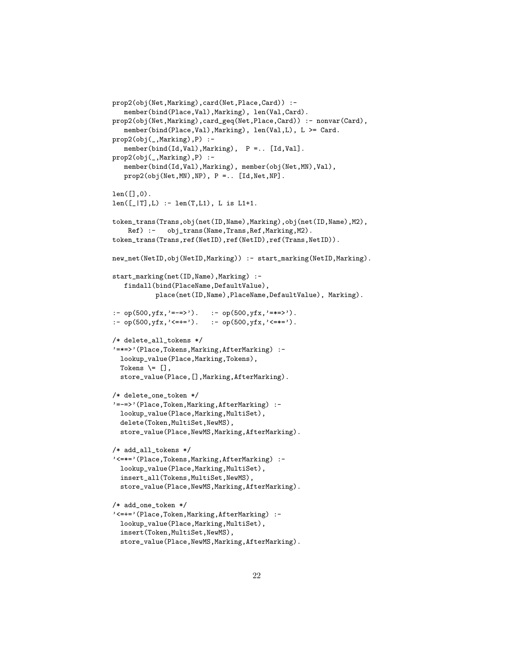```
prop2(obj(Net,Marking),card(Net,Place,Card)) :-
  member(bind(Place,Val),Marking), len(Val,Card).
prop2(obj(Net,Marking),card_geq(Net,Place,Card)) :- nonvar(Card),
  member(bind(Place,Val),Marking), len(Val,L), L >= Card.
prop2(obj(_,Marking),P) :-
  member(bind(Id,Val),Marking), P =.. [Id,Val].
prop2(obj(_,Marking),P) :-
  member(bind(Id,Val),Marking), member(obj(Net,MN),Val),
  prop2(obj(Net, MN), NP), P =. [Id, Net, NP].
len([], 0).
len([-|T], L) :- len(T, L1), L is L1+1.token_trans(Trans,obj(net(ID,Name),Marking),obj(net(ID,Name),M2),
   Ref) :- obj_trans(Name,Trans,Ref,Marking,M2).
token_trans(Trans,ref(NetID),ref(NetID),ref(Trans,NetID)).
new_net(NetID,obj(NetID,Marking)) :- start_marking(NetID,Marking).
start_marking(net(ID,Name),Marking) :-
  findall(bind(PlaceName,DefaultValue),
           place(net(ID,Name),PlaceName,DefaultValue), Marking).
:- op(500,yfx,'=-=>'). :- op(500,yfx,'=*=>').
:- op(500,yfx,'<=+='). :- op(500,yfx,'<=*=').
/* delete_all_tokens */
' = * = > '(Place, Tokens, Marking, AfterMarking) : -
 lookup_value(Place,Marking,Tokens),
 Tokens \leftarrow [],
 store_value(Place,[],Marking,AfterMarking).
/* delete_one_token */
'=-=>'(Place,Token,Marking,AfterMarking) :-
 lookup_value(Place,Marking,MultiSet),
 delete(Token,MultiSet,NewMS),
 store_value(Place,NewMS,Marking,AfterMarking).
/* add_all_tokens */
'<=*='(Place,Tokens,Marking,AfterMarking) :-
 lookup_value(Place,Marking,MultiSet),
 insert_all(Tokens,MultiSet,NewMS),
 store_value(Place,NewMS,Marking,AfterMarking).
/* add_one_token */
'<=+='(Place,Token,Marking,AfterMarking) :-
 lookup_value(Place,Marking,MultiSet),
 insert(Token,MultiSet,NewMS),
  store_value(Place,NewMS,Marking,AfterMarking).
```